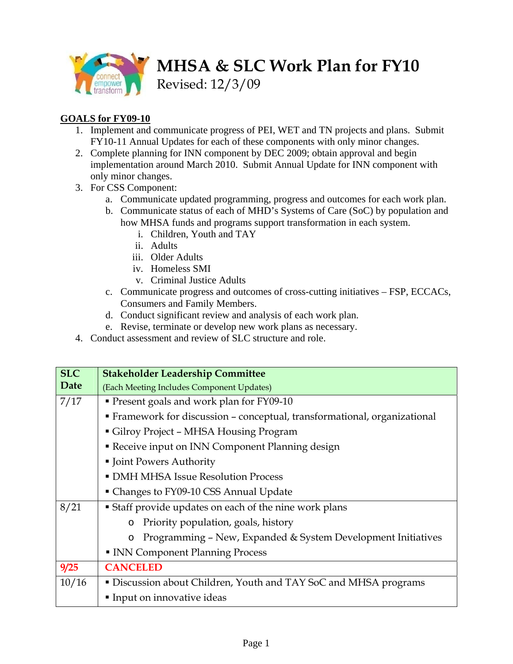

**MHSA & SLC Work Plan for FY10** 

Revised: 12/3/09

## **GOALS for FY09-10**

- 1. Implement and communicate progress of PEI, WET and TN projects and plans. Submit FY10-11 Annual Updates for each of these components with only minor changes.
- 2. Complete planning for INN component by DEC 2009; obtain approval and begin implementation around March 2010. Submit Annual Update for INN component with only minor changes.
- 3. For CSS Component:
	- a. Communicate updated programming, progress and outcomes for each work plan.
	- b. Communicate status of each of MHD's Systems of Care (SoC) by population and how MHSA funds and programs support transformation in each system.
		- i. Children, Youth and TAY
		- ii. Adults
		- iii. Older Adults
		- iv. Homeless SMI
		- v. Criminal Justice Adults
	- c. Communicate progress and outcomes of cross-cutting initiatives FSP, ECCACs, Consumers and Family Members.
	- d. Conduct significant review and analysis of each work plan.
	- e. Revise, terminate or develop new work plans as necessary.
- 4. Conduct assessment and review of SLC structure and role.

| <b>SLC</b> | <b>Stakeholder Leadership Committee</b>                                   |
|------------|---------------------------------------------------------------------------|
| Date       | (Each Meeting Includes Component Updates)                                 |
| 7/17       | • Present goals and work plan for FY09-10                                 |
|            | • Framework for discussion - conceptual, transformational, organizational |
|            | Gilroy Project – MHSA Housing Program                                     |
|            | Receive input on INN Component Planning design                            |
|            | • Joint Powers Authority                                                  |
|            | • DMH MHSA Issue Resolution Process                                       |
|            | • Changes to FY09-10 CSS Annual Update                                    |
| 8/21       | • Staff provide updates on each of the nine work plans                    |
|            | Priority population, goals, history<br>$\circ$                            |
|            | Programming - New, Expanded & System Development Initiatives<br>$\circ$   |
|            | • INN Component Planning Process                                          |
| 9/25       | <b>CANCELED</b>                                                           |
| 10/16      | • Discussion about Children, Youth and TAY SoC and MHSA programs          |
|            | Input on innovative ideas                                                 |